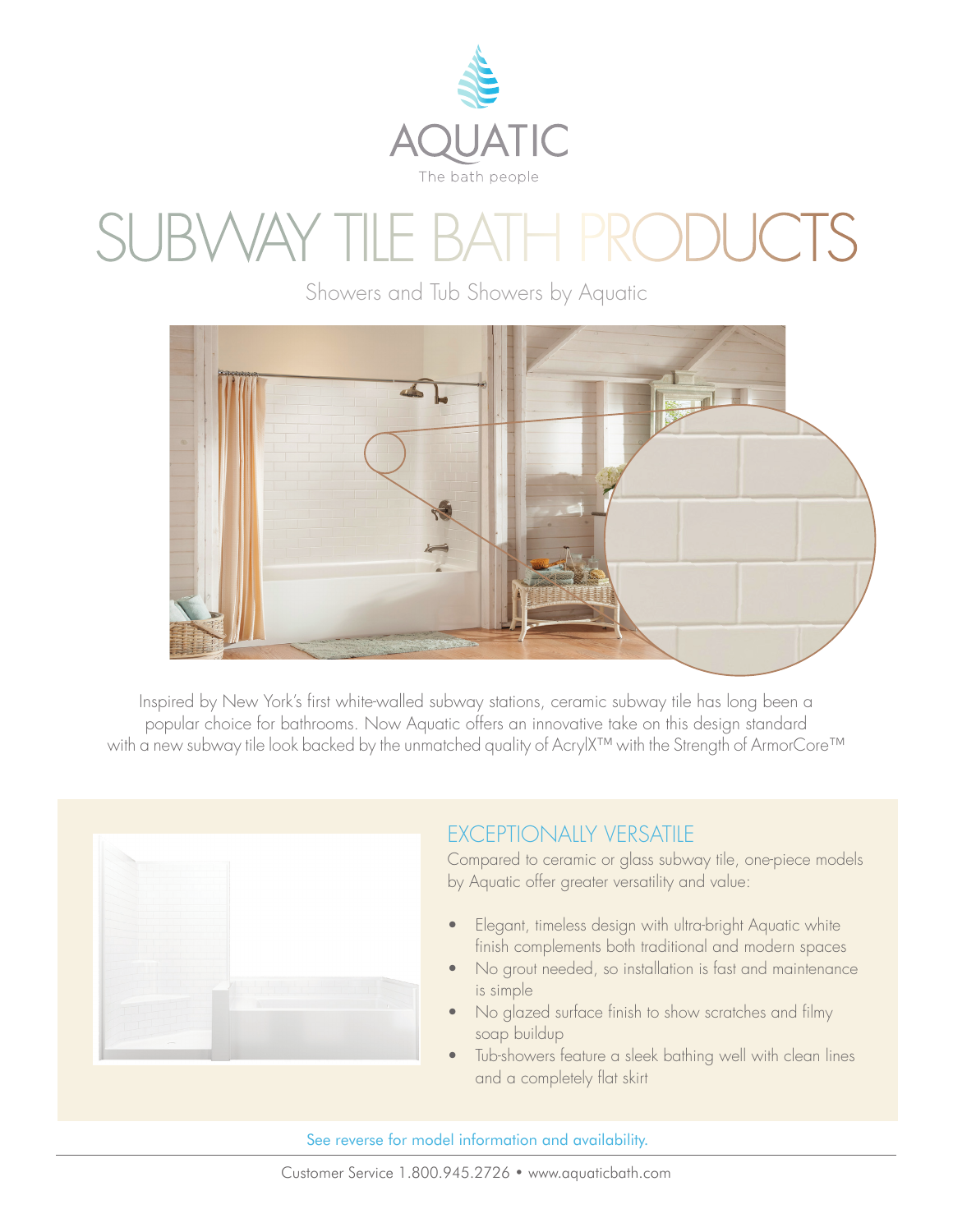

## SVVAY TILE BATH PRODUC

Showers and Tub Showers by Aquatic



Inspired by New York's first white-walled subway stations, ceramic subway tile has long been a popular choice for bathrooms. Now Aquatic offers an innovative take on this design standard with a new subway tile look backed by the unmatched quality of AcrylX™ with the Strength of ArmorCore™



## EXCEPTIONALLY VERSATILE

Compared to ceramic or glass subway tile, one-piece models by Aquatic offer greater versatility and value:

- Elegant, timeless design with ultra-bright Aquatic white finish complements both traditional and modern spaces
- No grout needed, so installation is fast and maintenance is simple
- No glazed surface finish to show scratches and filmy soap buildup
- Tub-showers feature a sleek bathing well with clean lines and a completely flat skirt

See reverse for model information and availability.